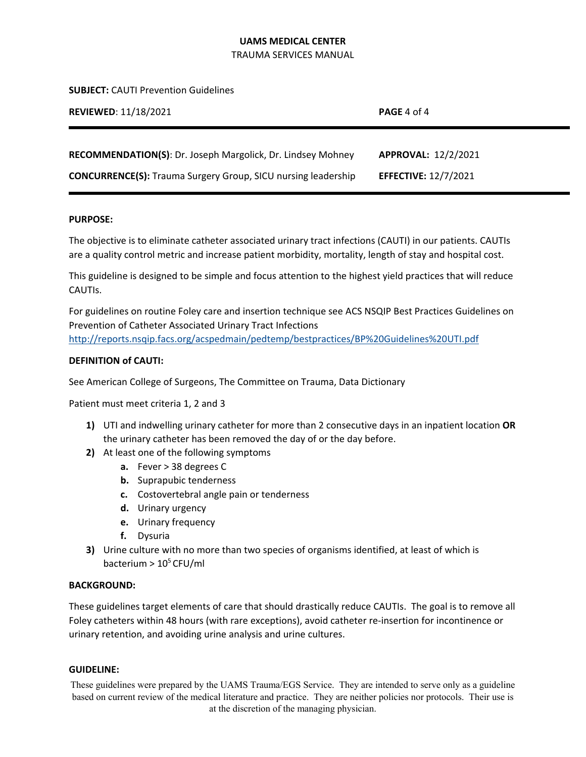TRAUMA SERVICES MANUAL

**SUBJECT:** CAUTI Prevention Guidelines

| <b>REVIEWED: 11/18/2021</b>                                          | <b>PAGE</b> 4 of 4          |
|----------------------------------------------------------------------|-----------------------------|
| <b>RECOMMENDATION(S): Dr. Joseph Margolick, Dr. Lindsey Mohney</b>   | APPROVAL: 12/2/2021         |
| <b>CONCURRENCE(S):</b> Trauma Surgery Group, SICU nursing leadership | <b>EFFECTIVE: 12/7/2021</b> |

#### **PURPOSE:**

The objective is to eliminate catheter associated urinary tract infections (CAUTI) in our patients. CAUTIs are a quality control metric and increase patient morbidity, mortality, length of stay and hospital cost.

This guideline is designed to be simple and focus attention to the highest yield practices that will reduce CAUTIs.

For guidelines on routine Foley care and insertion technique see ACS NSQIP Best Practices Guidelines on Prevention of Catheter Associated Urinary Tract Infections http://reports.nsqip.facs.org/acspedmain/pedtemp/bestpractices/BP%20Guidelines%20UTI.pdf

# **DEFINITION of CAUTI:**

See American College of Surgeons, The Committee on Trauma, Data Dictionary

Patient must meet criteria 1, 2 and 3

- **1)** UTI and indwelling urinary catheter for more than 2 consecutive days in an inpatient location **OR**  the urinary catheter has been removed the day of or the day before.
- **2)** At least one of the following symptoms
	- **a.** Fever > 38 degrees C
	- **b.** Suprapubic tenderness
	- **c.** Costovertebral angle pain or tenderness
	- **d.** Urinary urgency
	- **e.** Urinary frequency
	- **f.** Dysuria
- **3)** Urine culture with no more than two species of organisms identified, at least of which is bacterium  $> 10^5$  CFU/ml

#### **BACKGROUND:**

These guidelines target elements of care that should drastically reduce CAUTIs. The goal is to remove all Foley catheters within 48 hours (with rare exceptions), avoid catheter re-insertion for incontinence or urinary retention, and avoiding urine analysis and urine cultures.

#### **GUIDELINE:**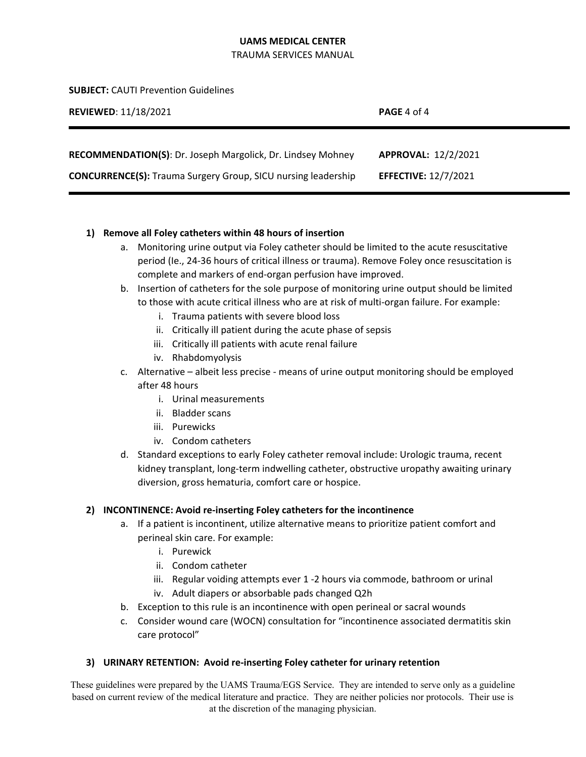TRAUMA SERVICES MANUAL

**SUBJECT:** CAUTI Prevention Guidelines

| <b>REVIEWED: 11/18/2021</b>                                          | <b>PAGE</b> 4 of 4          |
|----------------------------------------------------------------------|-----------------------------|
| RECOMMENDATION(S): Dr. Joseph Margolick, Dr. Lindsey Mohney          | APPROVAL: 12/2/2021         |
| <b>CONCURRENCE(S):</b> Trauma Surgery Group, SICU nursing leadership | <b>EFFECTIVE: 12/7/2021</b> |

# **1) Remove all Foley catheters within 48 hours of insertion**

- a. Monitoring urine output via Foley catheter should be limited to the acute resuscitative period (Ie., 24‐36 hours of critical illness or trauma). Remove Foley once resuscitation is complete and markers of end‐organ perfusion have improved.
- b. Insertion of catheters for the sole purpose of monitoring urine output should be limited to those with acute critical illness who are at risk of multi‐organ failure. For example:
	- i. Trauma patients with severe blood loss
	- ii. Critically ill patient during the acute phase of sepsis
	- iii. Critically ill patients with acute renal failure
	- iv. Rhabdomyolysis
- c. Alternative albeit less precise ‐ means of urine output monitoring should be employed after 48 hours
	- i. Urinal measurements
	- ii. Bladder scans
	- iii. Purewicks
	- iv. Condom catheters
- d. Standard exceptions to early Foley catheter removal include: Urologic trauma, recent kidney transplant, long-term indwelling catheter, obstructive uropathy awaiting urinary diversion, gross hematuria, comfort care or hospice.

# **2) INCONTINENCE: Avoid re‐inserting Foley catheters for the incontinence**

- a. If a patient is incontinent, utilize alternative means to prioritize patient comfort and perineal skin care. For example:
	- i. Purewick
	- ii. Condom catheter
	- iii. Regular voiding attempts ever 1 ‐2 hours via commode, bathroom or urinal
	- iv. Adult diapers or absorbable pads changed Q2h
- b. Exception to this rule is an incontinence with open perineal or sacral wounds
- c. Consider wound care (WOCN) consultation for "incontinence associated dermatitis skin care protocol"

# **3) URINARY RETENTION: Avoid re‐inserting Foley catheter for urinary retention**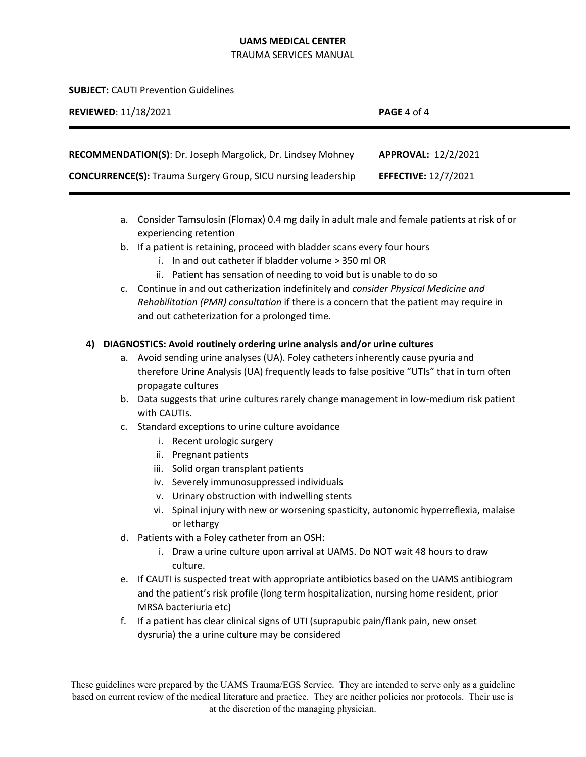TRAUMA SERVICES MANUAL

**SUBJECT:** CAUTI Prevention Guidelines

| <b>REVIEWED: 11/18/2021</b>                                          | <b>PAGE</b> 4 of 4          |
|----------------------------------------------------------------------|-----------------------------|
|                                                                      |                             |
| <b>RECOMMENDATION(S): Dr. Joseph Margolick, Dr. Lindsey Mohney</b>   | APPROVAL: 12/2/2021         |
| <b>CONCURRENCE(S):</b> Trauma Surgery Group, SICU nursing leadership | <b>EFFECTIVE: 12/7/2021</b> |

- a. Consider Tamsulosin (Flomax) 0.4 mg daily in adult male and female patients at risk of or experiencing retention
- b. If a patient is retaining, proceed with bladder scans every four hours
	- i. In and out catheter if bladder volume > 350 ml OR
	- ii. Patient has sensation of needing to void but is unable to do so
- c. Continue in and out catherization indefinitely and *consider Physical Medicine and Rehabilitation (PMR) consultation* if there is a concern that the patient may require in and out catheterization for a prolonged time.

# **4) DIAGNOSTICS: Avoid routinely ordering urine analysis and/or urine cultures**

- a. Avoid sending urine analyses (UA). Foley catheters inherently cause pyuria and therefore Urine Analysis (UA) frequently leads to false positive "UTIs" that in turn often propagate cultures
- b. Data suggests that urine cultures rarely change management in low-medium risk patient with CAUTIs.
- c. Standard exceptions to urine culture avoidance
	- i. Recent urologic surgery
	- ii. Pregnant patients
	- iii. Solid organ transplant patients
	- iv. Severely immunosuppressed individuals
	- v. Urinary obstruction with indwelling stents
	- vi. Spinal injury with new or worsening spasticity, autonomic hyperreflexia, malaise or lethargy
- d. Patients with a Foley catheter from an OSH:
	- i. Draw a urine culture upon arrival at UAMS. Do NOT wait 48 hours to draw culture.
- e. If CAUTI is suspected treat with appropriate antibiotics based on the UAMS antibiogram and the patient's risk profile (long term hospitalization, nursing home resident, prior MRSA bacteriuria etc)
- f. If a patient has clear clinical signs of UTI (suprapubic pain/flank pain, new onset dysruria) the a urine culture may be considered